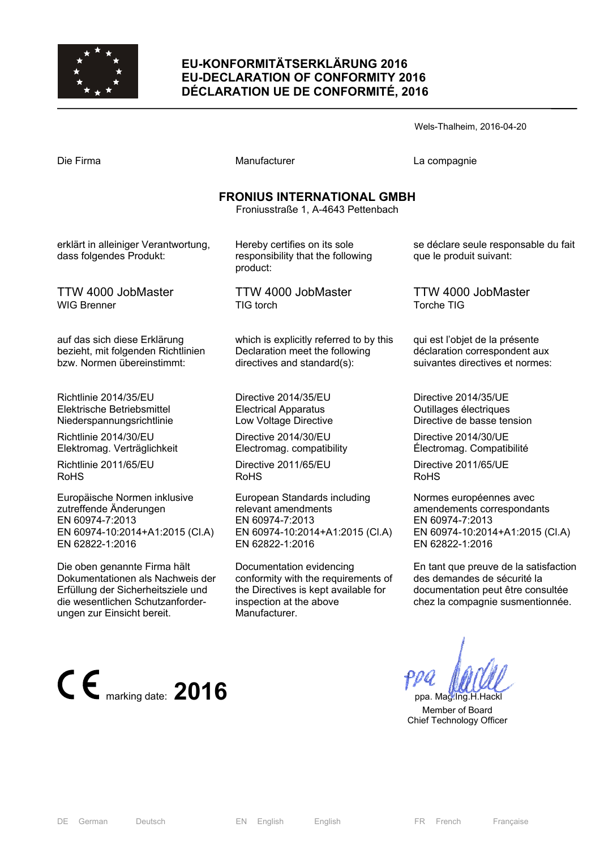

## **EU-KONFORMITÄTSERKLÄRUNG 2016 EU-DECLARATION OF CONFORMITY 2016 DÉCLARATION UE DE CONFORMITÉ, 2016**

|                                                                                                  |                                                                                                          | Wels-Thalheim, 2016-04-20                                                                          |
|--------------------------------------------------------------------------------------------------|----------------------------------------------------------------------------------------------------------|----------------------------------------------------------------------------------------------------|
| Die Firma                                                                                        | Manufacturer                                                                                             | La compagnie                                                                                       |
|                                                                                                  | <b>FRONIUS INTERNATIONAL GMBH</b><br>Froniusstraße 1, A-4643 Pettenbach                                  |                                                                                                    |
| erklärt in alleiniger Verantwortung,<br>dass folgendes Produkt:                                  | Hereby certifies on its sole<br>responsibility that the following<br>product:                            | se déclare seule responsable du fait<br>que le produit suivant:                                    |
| TTW 4000 JobMaster<br>WIG Brenner                                                                | TTW 4000 JobMaster<br>TIG torch                                                                          | TTW 4000 JobMaster<br>Torche TIG                                                                   |
| auf das sich diese Erklärung<br>bezieht, mit folgenden Richtlinien<br>bzw. Normen übereinstimmt: | which is explicitly referred to by this<br>Declaration meet the following<br>directives and standard(s): | qui est l'objet de la présente<br>déclaration correspondent aux<br>suivantes directives et normes: |

Directive 2014/35/EU Electrical Apparatus Low Voltage Directive

Directive 2014/30/EU Electromag. compatibility

Directive 2011/65/EU RoHS

European Standards including relevant amendments EN 60974-7:2013 EN 60974-10:2014+A1:2015 (Cl.A) EN 62822-1:2016

Documentation evidencing conformity with the requirements of the Directives is kept available for inspection at the above Manufacturer.

Directive 2014/35/UE Outillages électriques Directive de basse tension

Directive 2014/30/UE Électromag. Compatibilité

Directive 2011/65/UE RoHS

Normes européennes avec amendements correspondants EN 60974-7:2013 EN 60974-10:2014+A1:2015 (Cl.A) EN 62822-1:2016

En tant que preuve de la satisfaction des demandes de sécurité la documentation peut être consultée chez la compagnie susmentionnée.

 Member of Board Chief Technology Officer

Richtlinie 2014/35/EU Elektrische Betriebsmittel Niederspannungsrichtlinie

Richtlinie 2014/30/EU Elektromag. Verträglichkeit

Richtlinie 2011/65/EU RoHS

Europäische Normen inklusive zutreffende Änderungen EN 60974-7:2013 EN 60974-10:2014+A1:2015 (Cl.A) EN 62822-1:2016

Die oben genannte Firma hält Dokumentationen als Nachweis der Erfüllung der Sicherheitsziele und die wesentlichen Schutzanforderungen zur Einsicht bereit.



DE German Deutsch EN English English FR French Française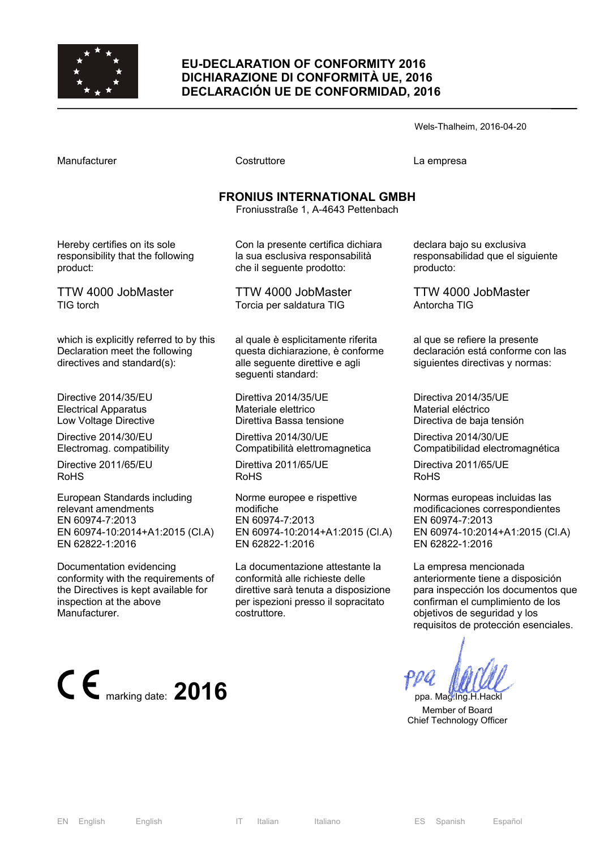

### **EU-DECLARATION OF CONFORMITY 2016 DICHIARAZIONE DI CONFORMITÀ UE, 2016 DECLARACIÓN UE DE CONFORMIDAD, 2016**

Wels-Thalheim, 2016-04-20

Costruttore **Costruttore** La empresa

# **FRONIUS INTERNATIONAL GMBH**

Froniusstraße 1, A-4643 Pettenbach

Hereby certifies on its sole responsibility that the following product:

TTW 4000 JobMaster TIG torch

which is explicitly referred to by this Declaration meet the following directives and standard(s):

Directive 2014/35/EU Electrical Apparatus Low Voltage Directive

Directive 2014/30/EU Electromag. compatibility

Directive 2011/65/EU RoHS

European Standards including relevant amendments EN 60974-7:2013 EN 60974-10:2014+A1:2015 (Cl.A) EN 62822-1:2016

Documentation evidencing conformity with the requirements of the Directives is kept available for inspection at the above Manufacturer.



Con la presente certifica dichiara la sua esclusiva responsabilità che il seguente prodotto:

TTW 4000 JobMaster Torcia per saldatura TIG

al quale è esplicitamente riferita questa dichiarazione, è conforme alle seguente direttive e agli seguenti standard:

Direttiva 2014/35/UE Materiale elettrico Direttiva Bassa tensione

Direttiva 2014/30/UE Compatibilità elettromagnetica

Direttiva 2011/65/UE RoHS

Norme europee e rispettive modifiche EN 60974-7:2013 EN 60974-10:2014+A1:2015 (Cl.A) EN 62822-1:2016

La documentazione attestante la conformità alle richieste delle direttive sarà tenuta a disposizione per ispezioni presso il sopracitato costruttore.

declara bajo su exclusiva responsabilidad que el siguiente producto:

TTW 4000 JobMaster Antorcha TIG

al que se refiere la presente declaración está conforme con las siguientes directivas y normas:

Directiva 2014/35/UE Material eléctrico Directiva de baja tensión

Directiva 2014/30/UE Compatibilidad electromagnética

Directiva 2011/65/UE RoHS

Normas europeas incluidas las modificaciones correspondientes EN 60974-7:2013 EN 60974-10:2014+A1:2015 (Cl.A) EN 62822-1:2016

La empresa mencionada anteriormente tiene a disposición para inspección los documentos que confirman el cumplimiento de los objetivos de seguridad y los requisitos de protección esenciales.

 Member of Board Chief Technology Officer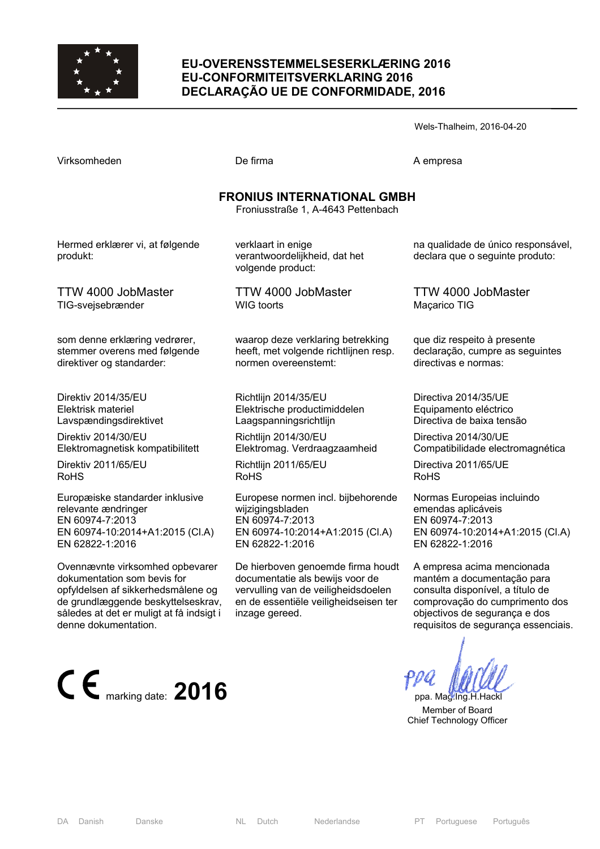

#### **EU-OVERENSSTEMMELSESERKLÆRING 2016 EU-CONFORMITEITSVERKLARING 2016 DECLARAÇÃO UE DE CONFORMIDADE, 2016**

Virksomheden De firma De firma A empresa

Wels-Thalheim, 2016-04-20

| <b>FRONIUS INTERNATIONAL GMBH</b><br>Froniusstraße 1, A-4643 Pettenbach                                                                                                                                        |                                                                                                                                                                        |                                                                                                                                                                                                        |  |  |
|----------------------------------------------------------------------------------------------------------------------------------------------------------------------------------------------------------------|------------------------------------------------------------------------------------------------------------------------------------------------------------------------|--------------------------------------------------------------------------------------------------------------------------------------------------------------------------------------------------------|--|--|
| Hermed erklærer vi, at følgende<br>produkt:                                                                                                                                                                    | verklaart in enige<br>verantwoordelijkheid, dat het<br>volgende product:                                                                                               | na qualidade de único responsável,<br>declara que o seguinte produto:                                                                                                                                  |  |  |
| TTW 4000 JobMaster                                                                                                                                                                                             | TTW 4000 JobMaster                                                                                                                                                     | TTW 4000 JobMaster                                                                                                                                                                                     |  |  |
| TIG-svejsebrænder                                                                                                                                                                                              | <b>WIG</b> toorts                                                                                                                                                      | Maçarico TIG                                                                                                                                                                                           |  |  |
| som denne erklæring vedrører,                                                                                                                                                                                  | waarop deze verklaring betrekking                                                                                                                                      | que diz respeito à presente                                                                                                                                                                            |  |  |
| stemmer overens med følgende                                                                                                                                                                                   | heeft, met volgende richtlijnen resp.                                                                                                                                  | declaração, cumpre as seguintes                                                                                                                                                                        |  |  |
| direktiver og standarder:                                                                                                                                                                                      | normen overeenstemt:                                                                                                                                                   | directivas e normas:                                                                                                                                                                                   |  |  |
| Direktiv 2014/35/EU                                                                                                                                                                                            | Richtlijn 2014/35/EU                                                                                                                                                   | Directiva 2014/35/UE                                                                                                                                                                                   |  |  |
| Elektrisk materiel                                                                                                                                                                                             | Elektrische productimiddelen                                                                                                                                           | Equipamento eléctrico                                                                                                                                                                                  |  |  |
| Lavspændingsdirektivet                                                                                                                                                                                         | Laagspanningsrichtlijn                                                                                                                                                 | Directiva de baixa tensão                                                                                                                                                                              |  |  |
| Direktiv 2014/30/EU                                                                                                                                                                                            | Richtlijn 2014/30/EU                                                                                                                                                   | Directiva 2014/30/UE                                                                                                                                                                                   |  |  |
| Elektromagnetisk kompatibilitett                                                                                                                                                                               | Elektromag. Verdraagzaamheid                                                                                                                                           | Compatibilidade electromagnética                                                                                                                                                                       |  |  |
| Direktiv 2011/65/EU                                                                                                                                                                                            | Richtlijn 2011/65/EU                                                                                                                                                   | Directiva 2011/65/UE                                                                                                                                                                                   |  |  |
| <b>RoHS</b>                                                                                                                                                                                                    | <b>RoHS</b>                                                                                                                                                            | <b>RoHS</b>                                                                                                                                                                                            |  |  |
| Europæiske standarder inklusive                                                                                                                                                                                | Europese normen incl. bijbehorende                                                                                                                                     | Normas Europeias incluindo                                                                                                                                                                             |  |  |
| relevante ændringer                                                                                                                                                                                            | wijzigingsbladen                                                                                                                                                       | emendas aplicáveis                                                                                                                                                                                     |  |  |
| EN 60974-7:2013                                                                                                                                                                                                | EN 60974-7:2013                                                                                                                                                        | EN 60974-7:2013                                                                                                                                                                                        |  |  |
| EN 60974-10:2014+A1:2015 (Cl.A)                                                                                                                                                                                | EN 60974-10:2014+A1:2015 (Cl.A)                                                                                                                                        | EN 60974-10:2014+A1:2015 (CI.A)                                                                                                                                                                        |  |  |
| EN 62822-1:2016                                                                                                                                                                                                | EN 62822-1:2016                                                                                                                                                        | EN 62822-1:2016                                                                                                                                                                                        |  |  |
| Ovennævnte virksomhed opbevarer<br>dokumentation som bevis for<br>opfyldelsen af sikkerhedsmålene og<br>de grundlæggende beskyttelseskrav,<br>således at det er muligt at få indsigt i<br>denne dokumentation. | De hierboven genoemde firma houdt<br>documentatie als bewijs voor de<br>vervulling van de veiligheidsdoelen<br>en de essentiële veiligheidseisen ter<br>inzage gereed. | A empresa acima mencionada<br>mantém a documentação para<br>consulta disponível, a título de<br>comprovação do cumprimento dos<br>objectivos de segurança e dos<br>requisitos de segurança essenciais. |  |  |



 Member of Board Chief Technology Officer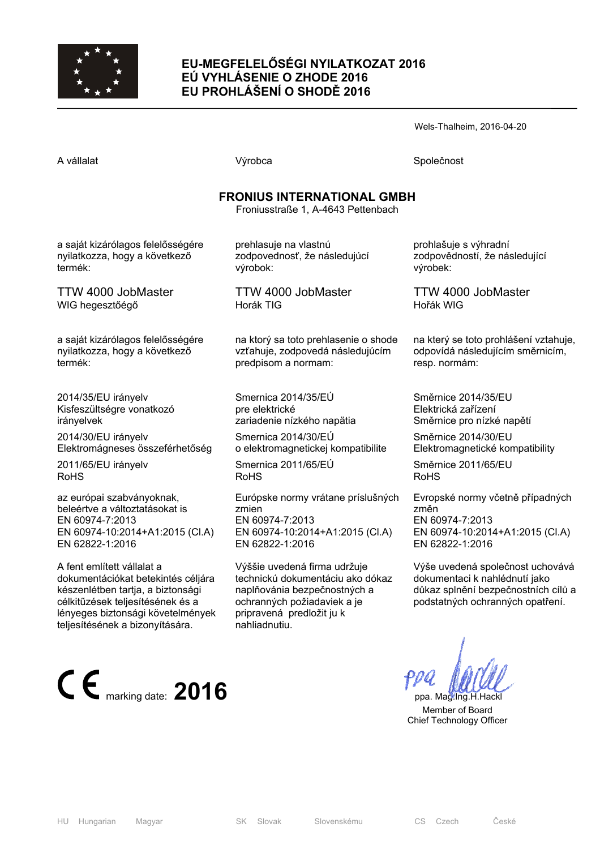

## **EU-MEGFELELŐSÉGI NYILATKOZAT 2016 EÚ VYHLÁSENIE O ZHODE 2016 EU PROHLÁŠENÍ O SHODĚ 2016**

Wels-Thalheim, 2016-04-20

A vállalat Společnost Národová výrobca Na vállalat Společnost Společnost Společnost Společnost Společnost Společnost

## **FRONIUS INTERNATIONAL GMBH**

Froniusstraße 1, A-4643 Pettenbach

a saját kizárólagos felelősségére nyilatkozza, hogy a következő termék:

TTW 4000 JobMaster WIG hegesztőégő

a saját kizárólagos felelősségére nyilatkozza, hogy a következő termék:

2014/35/EU irányelv Kisfeszültségre vonatkozó irányelvek

2014/30/EU irányelv Elektromágneses összeférhetőség

2011/65/EU irányelv RoHS

az európai szabványoknak, beleértve a változtatásokat is EN 60974-7:2013 EN 60974-10:2014+A1:2015 (Cl.A) EN 62822-1:2016

A fent említett vállalat a dokumentációkat betekintés céljára készenlétben tartja, a biztonsági célkitűzések teljesítésének és a lényeges biztonsági követelmények teljesítésének a bizonyítására.



prehlasuje na vlastnú zodpovednosť, že následujúcí výrobok:

TTW 4000 JobMaster Horák TIG

na ktorý sa toto prehlasenie o shode vzťahuje, zodpovedá následujúcím predpisom a normam:

Smernica 2014/35/EÚ pre elektrické zariadenie nízkého napätia

Smernica 2014/30/EÚ o elektromagnetickej kompatibilite

Smernica 2011/65/EÚ RoHS

Európske normy vrátane príslušných zmien EN 60974-7:2013 EN 60974-10:2014+A1:2015 (Cl.A) EN 62822-1:2016

Výššie uvedená firma udržuje technickú dokumentáciu ako dókaz naplňovánia bezpečnostných a ochranných požiadaviek a je pripravená predložit ju k nahliadnutiu.

prohlašuje s výhradní zodpovědností, že následující výrobek:

TTW 4000 JobMaster Hořák WIG

na který se toto prohlášení vztahuje, odpovídá následujícím směrnicím, resp. normám:

Směrnice 2014/35/EU Elektrická zařízení Směrnice pro nízké napětí

Směrnice 2014/30/EU Elektromagnetické kompatibility

Směrnice 2011/65/EU RoHS

Evropské normy včetně případných změn EN 60974-7:2013 EN 60974-10:2014+A1:2015 (Cl.A) EN 62822-1:2016

Výše uvedená společnost uchovává dokumentaci k nahlédnutí jako důkaz splnění bezpečnostních cílů a podstatných ochranných opatření.

 Member of Board Chief Technology Officer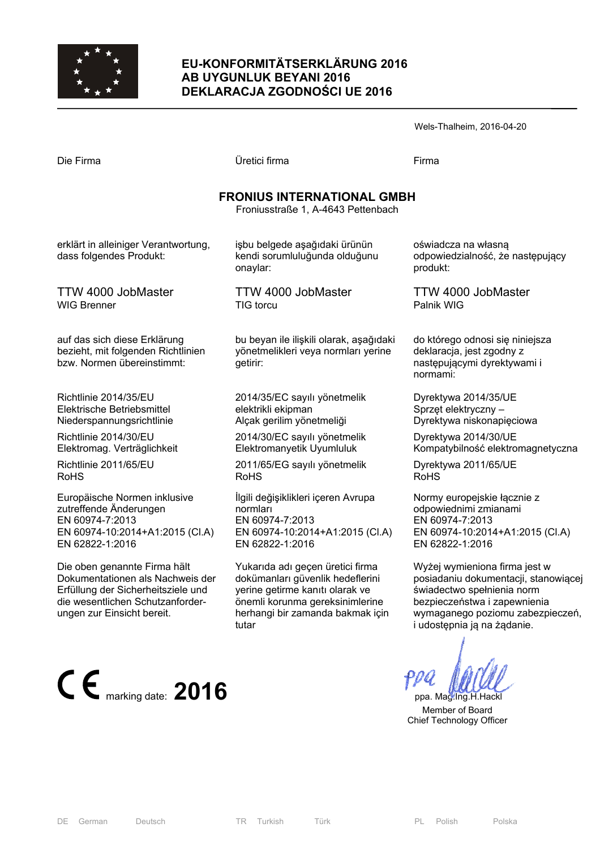

### **EU-KONFORMITÄTSERKLÄRUNG 2016 AB UYGUNLUK BEYANI 2016 DEKLARACJA ZGODNOŚCI UE 2016**

|                                                                         |                                                                            | Wels-Thalheim, 2016-04-20                                       |  |  |  |
|-------------------------------------------------------------------------|----------------------------------------------------------------------------|-----------------------------------------------------------------|--|--|--|
| Die Firma                                                               | Üretici firma                                                              | Firma                                                           |  |  |  |
| <b>FRONIUS INTERNATIONAL GMBH</b><br>Froniusstraße 1, A-4643 Pettenbach |                                                                            |                                                                 |  |  |  |
| erklärt in alleiniger Verantwortung,<br>dass folgendes Produkt:         | işbu belgede aşağıdaki ürünün<br>kendi sorumluluğunda olduğunu<br>onaylar: | oświadcza na własną<br>odpowiedzialność, że następu<br>produkt: |  |  |  |
| TTW 4000 JobMaster<br><b>WIG Brenner</b>                                | TTW 4000 JobMaster<br>TIG torcu                                            | TTW 4000 JobMaster<br>Palnik WIG                                |  |  |  |
|                                                                         |                                                                            |                                                                 |  |  |  |

auf das sich diese Erklärung bezieht, mit folgenden Richtlinien bzw. Normen übereinstimmt:

Richtlinie 2014/35/EU Elektrische Betriebsmittel Niederspannungsrichtlinie

Richtlinie 2014/30/EU Elektromag. Verträglichkeit

Richtlinie 2011/65/EU RoHS

Europäische Normen inklusive zutreffende Änderungen EN 60974-7:2013 EN 60974-10:2014+A1:2015 (Cl.A) EN 62822-1:2016

Die oben genannte Firma hält Dokumentationen als Nachweis der Erfüllung der Sicherheitsziele und die wesentlichen Schutzanforderungen zur Einsicht bereit.



bu beyan ile ilişkili olarak, aşağıdaki yönetmelikleri veya normları yerine getirir:

2014/35/EC sayılı yönetmelik elektrikli ekipman Alçak gerilim yönetmeliği

2014/30/EC sayılı yönetmelik Elektromanyetik Uyumluluk

2011/65/EG sayılı yönetmelik RoHS

İlgili değişiklikleri içeren Avrupa normları EN 60974-7:2013 EN 60974-10:2014+A1:2015 (Cl.A) EN 62822-1:2016

Yukarıda adı geçen üretici firma dokümanları güvenlik hedeflerini yerine getirme kanıtı olarak ve önemli korunma gereksinimlerine herhangi bir zamanda bakmak için tutar

ijący

do którego odnosi się niniejsza deklaracja, jest zgodny z następującymi dyrektywami i normami:

Dyrektywa 2014/35/UE Sprzęt elektryczny – Dyrektywa niskonapięciowa

Dyrektywa 2014/30/UE Kompatybilność elektromagnetyczna

Dyrektywa 2011/65/UE RoHS

Normy europejskie łącznie z odpowiednimi zmianami EN 60974-7:2013 EN 60974-10:2014+A1:2015 (Cl.A) EN 62822-1:2016

Wyżej wymieniona firma jest w posiadaniu dokumentacji, stanowiącej świadectwo spełnienia norm bezpieczeństwa i zapewnienia wymaganego poziomu zabezpieczeń, i udostępnia ją na żądanie.

 Member of Board Chief Technology Officer